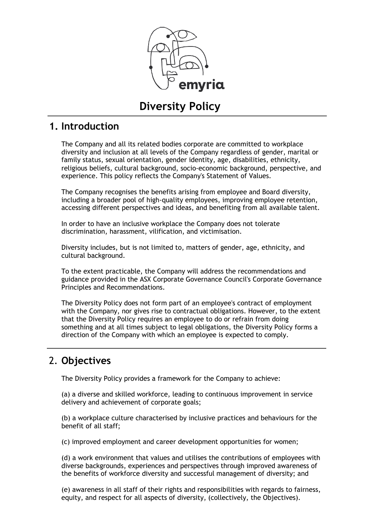

# **Diversity Policy**

## **1. Introduction**

The Company and all its related bodies corporate are committed to workplace diversity and inclusion at all levels of the Company regardless of gender, marital or family status, sexual orientation, gender identity, age, disabilities, ethnicity, religious beliefs, cultural background, socio-economic background, perspective, and experience. This policy reflects the Company's Statement of Values.

The Company recognises the benefits arising from employee and Board diversity, including a broader pool of high-quality employees, improving employee retention, accessing different perspectives and ideas, and benefiting from all available talent.

In order to have an inclusive workplace the Company does not tolerate discrimination, harassment, vilification, and victimisation.

Diversity includes, but is not limited to, matters of gender, age, ethnicity, and cultural background.

To the extent practicable, the Company will address the recommendations and guidance provided in the ASX Corporate Governance Council's Corporate Governance Principles and Recommendations.

The Diversity Policy does not form part of an employee's contract of employment with the Company, nor gives rise to contractual obligations. However, to the extent that the Diversity Policy requires an employee to do or refrain from doing something and at all times subject to legal obligations, the Diversity Policy forms a direction of the Company with which an employee is expected to comply.

## 2. **Objectives**

The Diversity Policy provides a framework for the Company to achieve:

(a) a diverse and skilled workforce, leading to continuous improvement in service delivery and achievement of corporate goals;

(b) a workplace culture characterised by inclusive practices and behaviours for the benefit of all staff;

(c) improved employment and career development opportunities for women;

(d) a work environment that values and utilises the contributions of employees with diverse backgrounds, experiences and perspectives through improved awareness of the benefits of workforce diversity and successful management of diversity; and

(e) awareness in all staff of their rights and responsibilities with regards to fairness, equity, and respect for all aspects of diversity, (collectively, the Objectives).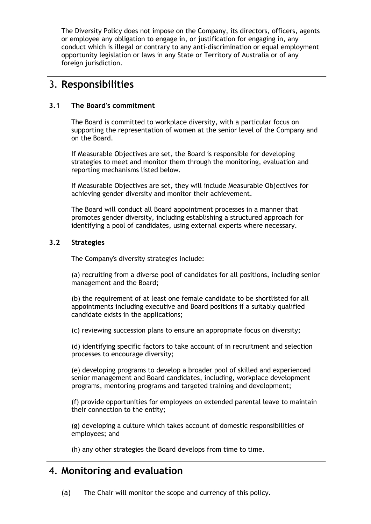The Diversity Policy does not impose on the Company, its directors, officers, agents or employee any obligation to engage in, or justification for engaging in, any conduct which is illegal or contrary to any anti-discrimination or equal employment opportunity legislation or laws in any State or Territory of Australia or of any foreign jurisdiction.

## 3. **Responsibilities**

#### **3.1 The Board's commitment**

The Board is committed to workplace diversity, with a particular focus on supporting the representation of women at the senior level of the Company and on the Board.

If Measurable Objectives are set, the Board is responsible for developing strategies to meet and monitor them through the monitoring, evaluation and reporting mechanisms listed below.

If Measurable Objectives are set, they will include Measurable Objectives for achieving gender diversity and monitor their achievement.

The Board will conduct all Board appointment processes in a manner that promotes gender diversity, including establishing a structured approach for identifying a pool of candidates, using external experts where necessary.

#### **3.2 Strategies**

The Company's diversity strategies include:

(a) recruiting from a diverse pool of candidates for all positions, including senior management and the Board;

(b) the requirement of at least one female candidate to be shortlisted for all appointments including executive and Board positions if a suitably qualified candidate exists in the applications;

(c) reviewing succession plans to ensure an appropriate focus on diversity;

(d) identifying specific factors to take account of in recruitment and selection processes to encourage diversity;

(e) developing programs to develop a broader pool of skilled and experienced senior management and Board candidates, including, workplace development programs, mentoring programs and targeted training and development;

(f) provide opportunities for employees on extended parental leave to maintain their connection to the entity;

(g) developing a culture which takes account of domestic responsibilities of employees; and

(h) any other strategies the Board develops from time to time.

### 4. **Monitoring and evaluation**

(a) The Chair will monitor the scope and currency of this policy.